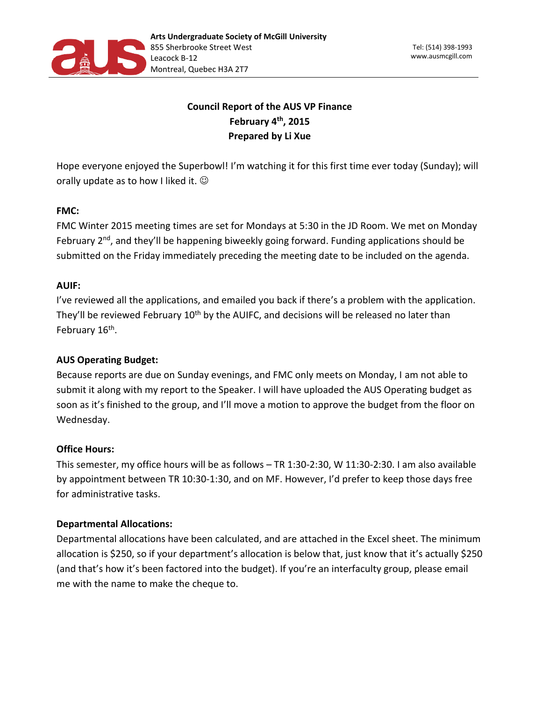

# **Council Report of the AUS VP Finance February 4th, 2015 Prepared by Li Xue**

Hope everyone enjoyed the Superbowl! I'm watching it for this first time ever today (Sunday); will orally update as to how I liked it.  $\odot$ 

## **FMC:**

FMC Winter 2015 meeting times are set for Mondays at 5:30 in the JD Room. We met on Monday February 2<sup>nd</sup>, and they'll be happening biweekly going forward. Funding applications should be submitted on the Friday immediately preceding the meeting date to be included on the agenda.

### **AUIF:**

I've reviewed all the applications, and emailed you back if there's a problem with the application. They'll be reviewed February 10<sup>th</sup> by the AUIFC, and decisions will be released no later than February 16<sup>th</sup>.

## **AUS Operating Budget:**

Because reports are due on Sunday evenings, and FMC only meets on Monday, I am not able to submit it along with my report to the Speaker. I will have uploaded the AUS Operating budget as soon as it's finished to the group, and I'll move a motion to approve the budget from the floor on Wednesday.

#### **Office Hours:**

This semester, my office hours will be as follows – TR 1:30-2:30, W 11:30-2:30. I am also available by appointment between TR 10:30-1:30, and on MF. However, I'd prefer to keep those days free for administrative tasks.

#### **Departmental Allocations:**

Departmental allocations have been calculated, and are attached in the Excel sheet. The minimum allocation is \$250, so if your department's allocation is below that, just know that it's actually \$250 (and that's how it's been factored into the budget). If you're an interfaculty group, please email me with the name to make the cheque to.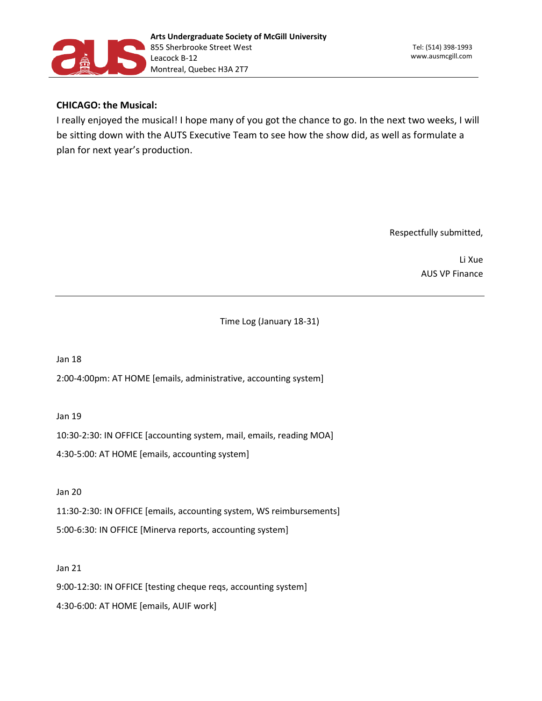

#### **CHICAGO: the Musical:**

I really enjoyed the musical! I hope many of you got the chance to go. In the next two weeks, I will be sitting down with the AUTS Executive Team to see how the show did, as well as formulate a plan for next year's production.

Respectfully submitted,

Li Xue AUS VP Finance

Time Log (January 18-31)

Jan 18

2:00-4:00pm: AT HOME [emails, administrative, accounting system]

Jan 19

10:30-2:30: IN OFFICE [accounting system, mail, emails, reading MOA]

4:30-5:00: AT HOME [emails, accounting system]

Jan 20

11:30-2:30: IN OFFICE [emails, accounting system, WS reimbursements] 5:00-6:30: IN OFFICE [Minerva reports, accounting system]

Jan 21

9:00-12:30: IN OFFICE [testing cheque reqs, accounting system]

4:30-6:00: AT HOME [emails, AUIF work]